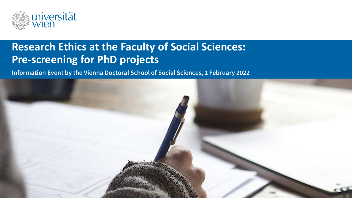

# **Research Ethics at the Faculty of Social Sciences: Pre-screening for PhD projects**

**Information Event by the Vienna Doctoral School of Social Sciences, 1 February 2022**

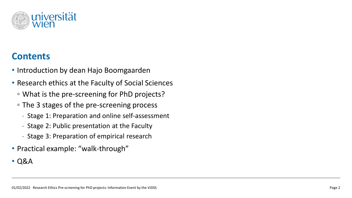

# **Contents**

- Introduction by dean Hajo Boomgaarden
- Research ethics at the Faculty of Social Sciences
	- What is the pre-screening for PhD projects?
	- The 3 stages of the pre-screening process
		- Stage 1: Preparation and online self-assessment
		- Stage 2: Public presentation at the Faculty
		- Stage 3: Preparation of empirical research
- Practical example: "walk-through"
- Q&A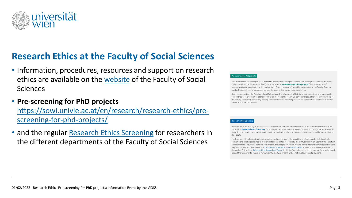

# **Research Ethics at the Faculty of Social Sciences**

- Information, procedures, resources and support on research ethics are available on the [website](https://sowi.univie.ac.at/en/research/research-ethics/research-ethics-screening/) of the Faculty of Social Sciences
- **Pre-screening for PhD projects**

[https://sowi.univie.ac.at/en/research/research-ethics/pre](https://sowi.univie.ac.at/en/research/research-ethics/pre-screening-for-phd-projects/)screening-for-phd-projects/

• and the regular [Research Ethics Screening](https://sowi.univie.ac.at/en/research/research-ethics/research-ethics-screening/) for researchers in the different departments of the Faculty of Social Sciences

### ening for PhD projec

Doctoral candidates are obliged to do this online self-assessment in preparation of the public presentation at the faculty ("fakultätsöffentliche Präsentation, FÖP") in the form of the pre-screening for PhD projects. The result of the selfassessment is discussed with the Doctoral Advisory Board in course of the public presentation at the Faculty. Doctoral candidates are advised to consider all comments received throughout the pre-screening.

Some departments of the Faculty of Social Sciences additionally expect affiliated doctoral candidates who successfully passed the public presentation at the Faculty to do the regular Research Ethics Screening (available for all researchers of the Faculty, see below), before they actually start the empirical research phase. In case of questions doctoral candidates should turn to their supervisor.

Researchers at the Faculty of Social Sciences do the online self-assessment in course of the project development in the form of the Research Ethics Screening. Depending on the department the process is either encouraged or mandatory. At some departments it is also mandatory for doctoral candidates, who have successfully passed the public presentation at the Faculty.

The Research Ethics Screening gives researchers and project teams the possibility to reflect on potential ethical risks, problems and challenges related to their projects and to obtain feedback by the Institutional Review Board of the Faculty of Social Sciences. They either receive a confirmation, that the project can be realized on the resarcher's own responsibility, or they must submit an application to the Ethics Committee of the University of Vienna. Based on Austrian legislation (2002 Universities Act) and the Statutes of the University of Vienna, the Ethics Committee is entitled to assess, if research projects respect the fundamental values of human dignity, liberty and health and do not violate any legal provisions.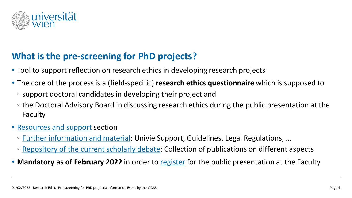

# **What is the pre-screening for PhD projects?**

- Tool to support reflection on research ethics in developing research projects
- The core of the process is a (field-specific) **research ethics questionnaire** which is supposed to
	- support doctoral candidates in developing their project and
	- the Doctoral Advisory Board in discussing research ethics during the public presentation at the Faculty
- [Resources and support](https://sowi.univie.ac.at/en/research/research-ethics/resources-and-support/) section
	- [Further information and material:](https://sowi.univie.ac.at/en/research/research-ethics/resources-and-support/further-information-and-material/) Univie Support, Guidelines, Legal Regulations, …
	- [Repository of the current scholarly debate](https://sowi.univie.ac.at/en/research/research-ethics/resources-and-support/repository-of-the-current-scholarly-debate/): Collection of publications on different aspects
- Mandatory as of February 2022 in order to [register](https://vds-sosci.univie.ac.at/doctoral-programme/public-presentation-at-the-faculty/) for the public presentation at the Faculty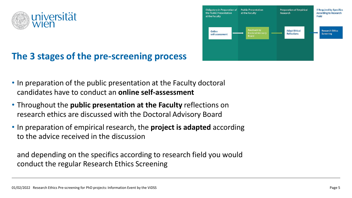

# **The 3 stages of the pre-screening process**



- In preparation of the public presentation at the Faculty doctoral candidates have to conduct an **online self-assessment**
- Throughout the **public presentation at the Faculty** reflections on research ethics are discussed with the Doctoral Advisory Board
- In preparation of empirical research, the **project is adapted** according to the advice received in the discussion

and depending on the specifics according to research field you would conduct the regular Research Ethics Screening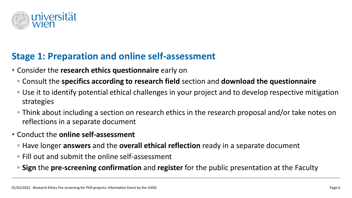

# **Stage 1: Preparation and online self-assessment**

- Consider the **research ethics questionnaire** early on
	- Consult the **specifics according to research field** section and **download the questionnaire**
	- Use it to identify potential ethical challenges in your project and to develop respective mitigation strategies
	- Think about including a section on research ethics in the research proposal and/or take notes on reflections in a separate document
- Conduct the **online self-assessment**
	- Have longer **answers** and the **overall ethical reflection** ready in a separate document
	- Fill out and submit the online self-assessment
	- **Sign** the **pre-screening confirmation** and **register** for the public presentation at the Faculty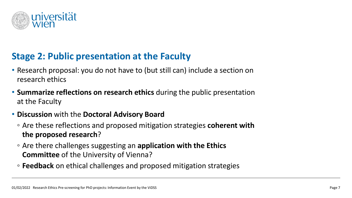

# **Stage 2: Public presentation at the Faculty**

- Research proposal: you do not have to (but still can) include a section on research ethics
- **Summarize reflections on research ethics** during the public presentation at the Faculty
- **Discussion** with the **Doctoral Advisory Board**
	- Are these reflections and proposed mitigation strategies **coherent with the proposed research**?
	- Are there challenges suggesting an **application with the Ethics Committee** of the University of Vienna?
	- **Feedback** on ethical challenges and proposed mitigation strategies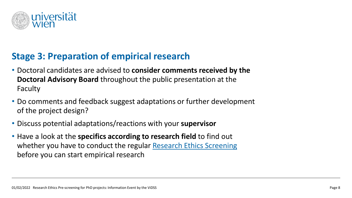

# **Stage 3: Preparation of empirical research**

- Doctoral candidates are advised to **consider comments received by the Doctoral Advisory Board** throughout the public presentation at the Faculty
- Do comments and feedback suggest adaptations or further development of the project design?
- Discuss potential adaptations/reactions with your **supervisor**
- Have a look at the **specifics according to research field** to find out whether you have to conduct the regular [Research Ethics Screening](https://sowi.univie.ac.at/en/research/research-ethics/research-ethics-screening/) before you can start empirical research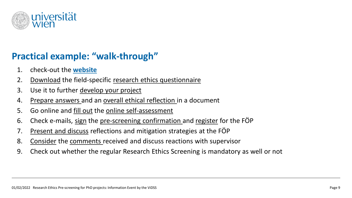

# **Practical example: "walk-through"**

- 1. check-out the **[website](https://sowi.univie.ac.at/en/research/research-ethics/pre-screening-for-phd-projects/)**
- 2. Download the field-specific research ethics questionnaire
- 3. Use it to further develop your project
- 4. Prepare answers and an overall ethical reflection in a document
- 5. Go online and fill out the online self-assessment
- 6. Check e-mails, sign the pre-screening confirmation and register for the FOP
- 7. Present and discuss reflections and mitigation strategies at the FÖP
- 8. Consider the comments received and discuss reactions with supervisor
- 9. Check out whether the regular Research Ethics Screening is mandatory as well or not